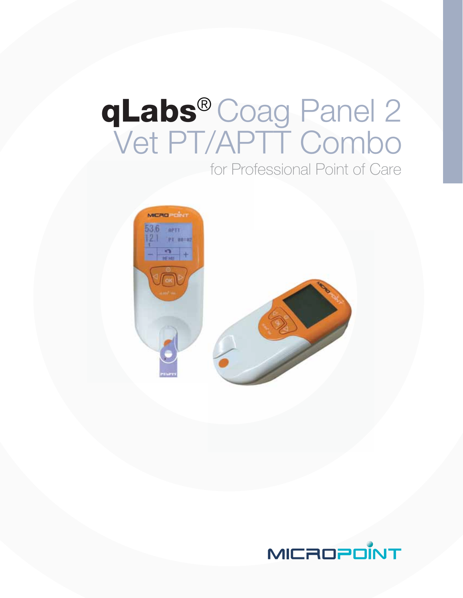# qLabs® Coag Panel 2<br>Vet PT/APTT Combo for Professional Point of Care